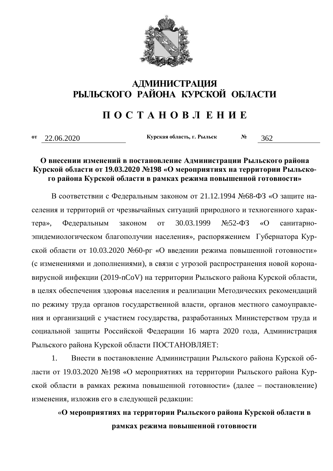

### **Ӓ**ҴӍҤҤИСТРАЦИЯ **ɊɕɅɖɋɄɈȽɈ ɊȺɃɈɇȺ ɄɍɊɋɄɈɃ ɈȻɅȺɋɌɂ**

## $\bf\Pi$  **<b>O C T A H O B JI E H H E**

**<sup>oт</sup>** 22.06.2020  **Kypckas oбласть, г. Рыльск** № 362

#### **О внесении изменений в постановление Администрации Рыльского района** Курской области от 19.03.2020 №198 «О мероприятиях на территории Рыльского района Курской области в рамках режима повышенной готовности»

В соответствии с Федеральным законом от 21.12.1994 №68-ФЗ «О защите населения и территорий от чрезвычайных ситуаций природного и техногенного харак- $Tepa$ », Федеральным законом от 30.03.1999  $N$ °52-ФЗ «О санитарноэпидемиологическом благополучии населения», распоряжением Губернатора Курской области от 10.03.2020 №60-рг «О введении режима повышенной готовности» (с изменениями и дополнениями), в связи с угрозой распространения новой коронавирусной инфекции (2019-nCoV) на территории Рыльского района Курской области, в целях обеспечения здоровья населения и реализации Методических рекомендаций по режиму труда органов государственной власти, органов местного самоуправления и организаций с участием государства, разработанных Министерством труда и социальной защиты Российской Федерации 16 марта 2020 года, Администрация Рыльского района Курской области ПОСТАНОВЛЯЕТ:

1. Внести в постановление Администрации Рыльского района Курской области от 19.03.2020 №198 «О мероприятиях на территории Рыльского района Курской области в рамках режима повышенной готовности» (далее – постановление) изменения, изложив его в следующей редакции:

# «О мероприятиях на территории Рыльского района Курской области в рамках режима повышенной готовности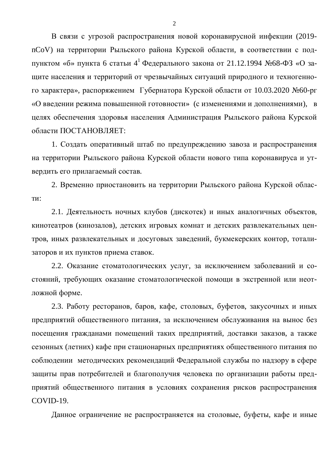В связи с угрозой распространения новой коронавирусной инфекции (2019nCoV) на территории Рыльского района Курской области, в соответствии с подпунктом «б» пункта 6 статьи 4<sup>1</sup> Федерального закона от 21.12.1994 №68-ФЗ «О защите населения и территорий от чрезвычайных ситуаций природного и техногенного характера», распоряжением Губернатора Курской области от 10.03.2020 №60-рг «О введении режима повышенной готовности» (с изменениями и дополнениями), в целях обеспечения здоровья населения Администрация Рыльского района Курской области ПОСТАНОВЛЯЕТ:

1. Создать оперативный штаб по предупреждению завоза и распространения на территории Рыльского района Курской области нового типа коронавируса и утвердить его прилагаемый состав.

2. Временно приостановить на территории Рыльского района Курской облас-TИ:

2.1. Деятельность ночных клубов (дискотек) и иных аналогичных объектов, кинотеатров (кинозалов), детских игровых комнат и детских развлекательных центров, иных развлекательных и досуговых заведений, букмекерских контор, тотализаторов и их пунктов приема ставок.

2.2. Оказание стоматологических услуг, за исключением заболеваний и состояний, требующих оказание стоматологической помощи в экстренной или неотложной форме.

2.3. Работу ресторанов, баров, кафе, столовых, буфетов, закусочных и иных предприятий общественного питания, за исключением обслуживания на вынос без посещения гражданами помещений таких предприятий, доставки заказов, а также сезонных (летних) кафе при стационарных предприятиях общественного питания по соблюдении методических рекомендаций Федеральной службы по надзору в сфере защиты прав потребителей и благополучия человека по организации работы предприятий общественного питания в условиях сохранения рисков распространения COVID-19.

Данное ограничение не распространяется на столовые, буфеты, кафе и иные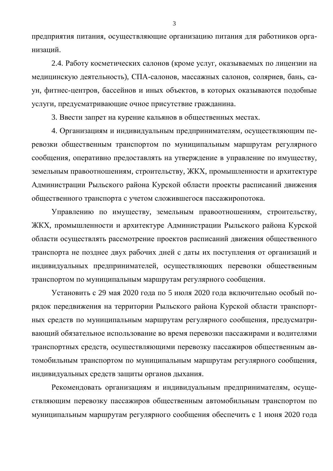предприятия питания, осуществляющие организацию питания для работников организаций.

2.4. Работу косметических салонов (кроме услуг, оказываемых по лицензии на медицинскую деятельность), СПА-салонов, массажных салонов, соляриев, бань, саун, фитнес-центров, бассейнов и иных объектов, в которых оказываются подобные услуги, предусматривающие очное присутствие гражданина.

3. Ввести запрет на курение кальянов в общественных местах.

4. Организациям и индивидуальным предпринимателям, осуществляющим перевозки общественным транспортом по муниципальным маршрутам регулярного сообщения, оперативно предоставлять на утверждение в управление по имуществу, земельным правоотношениям, строительству, ЖКХ, промышленности и архитектуре Администрации Рыльского района Курской области проекты расписаний движения общественного транспорта с учетом сложившегося пассажиропотока.

Управлению по имуществу, земельным правоотношениям, строительству, ЖКХ, промышленности и архитектуре Администрации Рыльского района Курской области осуществлять рассмотрение проектов расписаний движения общественного транспорта не позднее двух рабочих дней с даты их поступления от организаций и индивидуальных предпринимателей, осуществляющих перевозки общественным транспортом по муниципальным маршрутам регулярного сообщения.

Установить с 29 мая 2020 года по 5 июля 2020 года включительно особый порядок передвижения на территории Рыльского района Курской области транспортных средств по муниципальным маршрутам регулярного сообщения, предусматривающий обязательное использование во время перевозки пассажирами и водителями транспортных средств, осуществляющими перевозку пассажиров общественным автомобильным транспортом по муниципальным маршрутам регулярного сообщения, индивидуальных средств защиты органов дыхания.

Рекомендовать организациям и индивидуальным предпринимателям, осуществляющим перевозку пассажиров общественным автомобильным транспортом по муниципальным маршрутам регулярного сообщения обеспечить с 1 июня 2020 года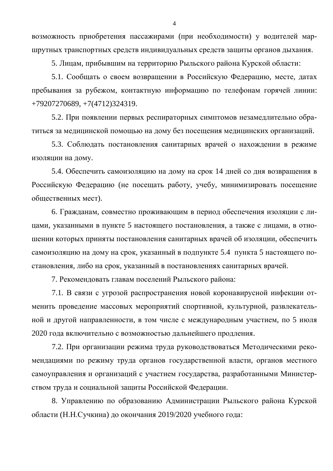возможность приобретения пассажирами (при необходимости) у водителей маршрутных транспортных средств индивидуальных средств защиты органов дыхания.

5. Лицам, прибывшим на территорию Рыльского района Курской области:

5.1. Сообщать о своем возвращении в Российскую Федерацию, месте, датах пребывания за рубежом, контактную информацию по телефонам горячей линии: +79207270689, +7(4712)324319.

5.2. При появлении первых респираторных симптомов незамедлительно обратиться за медицинской помощью на дому без посещения медицинских организаций.

5.3. Соблюдать постановления санитарных врачей о нахождении в режиме изоляции на дому.

5.4. Обеспечить самоизоляцию на дому на срок 14 дней со дня возвращения в Российскую Федерацию (не посещать работу, учебу, минимизировать посещение общественных мест).

6. Гражданам, совместно проживающим в период обеспечения изоляции с лицами, указанными в пункте 5 настоящего постановления, а также с лицами, в отношении которых приняты постановления санитарных врачей об изоляции, обеспечить самоизоляцию на дому на срок, указанный в подпункте 5.4 пункта 5 настоящего постановления, либо на срок, указанный в постановлениях санитарных врачей.

7. Рекомендовать главам поселений Рыльского района:

7.1. В связи с угрозой распространения новой коронавирусной инфекции отменить проведение массовых мероприятий спортивной, культурной, развлекательной и другой направленности, в том числе с международным участием, по 5 июля 2020 года включительно с возможностью дальнейшего продления.

7.2. При организации режима труда руководствоваться Методическими рекомендациями по режиму труда органов государственной власти, органов местного самоуправления и организаций с участием государства, разработанными Министерством труда и социальной защиты Российской Федерации.

8. Управлению по образованию Администрации Рыльского района Курской области (Н.Н.Сучкина) до окончания 2019/2020 учебного года: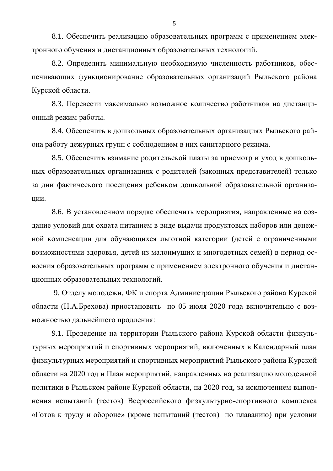8.1. Обеспечить реализацию образовательных программ с применением электронного обучения и дистанционных образовательных технологий.

8.2. Определить минимальную необходимую численность работников, обеспечивающих функционирование образовательных организаций Рыльского района Курской области.

8.3. Перевести максимально возможное количество работников на дистанционный режим работы.

8.4. Обеспечить в дошкольных образовательных организациях Рыльского района работу дежурных групп с соблюдением в них санитарного режима.

8.5. Обеспечить взимание родительской платы за присмотр и уход в дошкольных образовательных организациях с родителей (законных представителей) только за дни фактического посещения ребенком дошкольной образовательной организации.

8.6. В установленном порядке обеспечить мероприятия, направленные на создание условий для охвата питанием в виде выдачи продуктовых наборов или денежной компенсации для обучающихся льготной категории (детей с ограниченными возможностями здоровья, детей из малоимущих и многодетных семей) в период освоения образовательных программ с применением электронного обучения и дистанционных образовательных технологий.

9. Отделу молодежи, ФК и спорта Администрации Рыльского района Курской области (Н.А.Брехова) приостановить по 05 июля 2020 года включительно с возможностью дальнейшего продления:

9.1. Проведение на территории Рыльского района Курской области физкультурных мероприятий и спортивных мероприятий, включенных в Календарный план физкультурных мероприятий и спортивных мероприятий Рыльского района Курской области на 2020 год и План мероприятий, направленных на реализацию молодежной политики в Рыльском районе Курской области, на 2020 год, за исключением выполнения испытаний (тестов) Всероссийского физкультурно-спортивного комплекса «Готов к труду и обороне» (кроме испытаний (тестов) по плаванию) при условии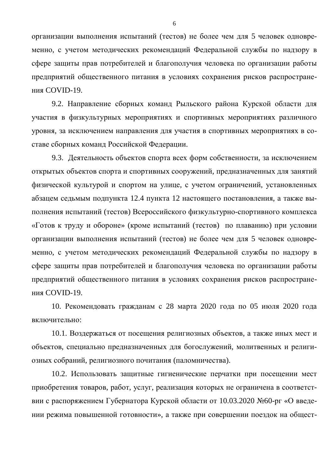организации выполнения испытаний (тестов) не более чем для 5 человек одновременно, с учетом методических рекомендаций Федеральной службы по надзору в сфере защиты прав потребителей и благополучия человека по организации работы предприятий общественного питания в условиях сохранения рисков распространения COVID-19.

9.2. Направление сборных команд Рыльского района Курской области для участия в физкультурных мероприятиях и спортивных мероприятиях различного уровня, за исключением направления для участия в спортивных мероприятиях в составе сборных команд Российской Федерации.

9.3. Деятельность объектов спорта всех форм собственности, за исключением открытых объектов спорта и спортивных сооружений, предназначенных для занятий физической культурой и спортом на улице, с учетом ограничений, установленных абзацем седьмым подпункта 12.4 пункта 12 настоящего постановления, а также выполнения испытаний (тестов) Всероссийского физкультурно-спортивного комплекса «Готов к труду и обороне» (кроме испытаний (тестов) по плаванию) при условии организации выполнения испытаний (тестов) не более чем для 5 человек одновременно, с учетом методических рекомендаций Федеральной службы по надзору в сфере защиты прав потребителей и благополучия человека по организации работы предприятий общественного питания в условиях сохранения рисков распространения COVID-19.

10. Рекомендовать гражданам с 28 марта 2020 года по 05 июля 2020 года включительно:

10.1. Воздержаться от посещения религиозных объектов, а также иных мест и объектов, специально предназначенных для богослужений, молитвенных и религиозных собраний, религиозного почитания (паломничества).

10.2. Использовать защитные гигиенические перчатки при посещении мест приобретения товаров, работ, услуг, реализация которых не ограничена в соответствии с распоряжением Губернатора Курской области от 10.03.2020 №60-рг «О введении режима повышенной готовности», а также при совершении поездок на общест-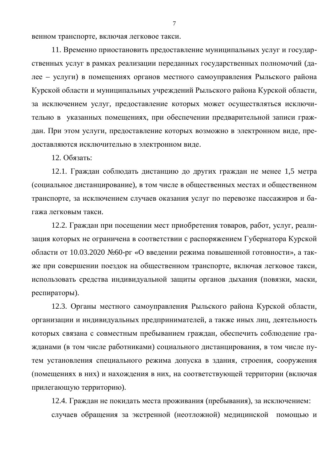венном транспорте, включая легковое такси.

11. Временно приостановить предоставление муниципальных услуг и государственных услуг в рамках реализации переданных государственных полномочий (дадее – услуги) в помещениях органов местного самоуправления Рыльского района Курской области и муниципальных учреждений Рыльского района Курской области, за исключением услуг, предоставление которых может осуществляться исключительно в указанных помещениях, при обеспечении предварительной записи граждан. При этом услуги, предоставление которых возможно в электронном виде, предоставляются исключительно в электронном виде.

12. Обязать:

12.1. Граждан соблюдать дистанцию до других граждан не менее 1,5 метра (социальное дистанцирование), в том числе в общественных местах и общественном транспорте, за исключением случаев оказания услуг по перевозке пассажиров и багажа легковым такси.

12.2. Граждан при посещении мест приобретения товаров, работ, услуг, реализация которых не ограничена в соответствии с распоряжением Губернатора Курской области от 10.03.2020 №60-рг «О введении режима повышенной готовности», а также при совершении поездок на общественном транспорте, включая легковое такси, использовать средства индивидуальной защиты органов дыхания (повязки, маски, респираторы).

12.3. Органы местного самоуправления Рыльского района Курской области, организации и индивидуальных предпринимателей, а также иных лиц, деятельность которых связана с совместным пребыванием граждан, обеспечить соблюдение гражданами (в том числе работниками) социального дистанцирования, в том числе путем установления специального режима допуска в здания, строения, сооружения (помещениях в них) и нахождения в них, на соответствующей территории (включая прилегающую территорию).

12.4. Граждан не покидать места проживания (пребывания), за исключением: случаев обращения за экстренной (неотложной) медицинской помощью и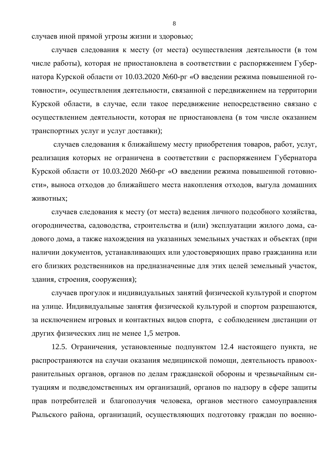случаев иной прямой угрозы жизни и здоровью;

случаев следования к месту (от места) осуществления деятельности (в том числе работы), которая не приостановлена в соответствии с распоряжением Губернатора Курской области от 10.03.2020 №60-рг «О введении режима повышенной готовности», осуществления деятельности, связанной с передвижением на территории Курской области, в случае, если такое передвижение непосредственно связано с осуществлением деятельности, которая не приостановлена (в том числе оказанием транспортных услуг и услуг доставки);

случаев следования к ближайшему месту приобретения товаров, работ, услуг, реализация которых не ограничена в соответствии с распоряжением Губернатора Курской области от 10.03.2020 №60-рг «О введении режима повышенной готовности», выноса отходов до ближайшего места накопления отходов, выгула домашних ЖИВОТНЫХ;

случаев следования к месту (от места) ведения личного подсобного хозяйства, огородничества, садоводства, строительства и (или) эксплуатации жилого дома, садового дома, а также нахождения на указанных земельных участках и объектах (при наличии документов, устанавливающих или удостоверяющих право гражданина или его близких родственников на предназначенные для этих целей земельный участок, здания, строения, сооружения);

случаев прогулок и индивидуальных занятий физической культурой и спортом на улице. Индивидуальные занятия физической культурой и спортом разрешаются, за исключением игровых и контактных видов спорта, с соблюдением дистанции от других физических лиц не менее 1,5 метров.

12.5. Ограничения, установленные подпунктом 12.4 настоящего пункта, не распространяются на случаи оказания медицинской помощи, деятельность правоохранительных органов, органов по делам гражданской обороны и чрезвычайным ситуациям и подведомственных им организаций, органов по надзору в сфере защиты прав потребителей и благополучия человека, органов местного самоуправления Рыльского района, организаций, осуществляющих подготовку граждан по военно-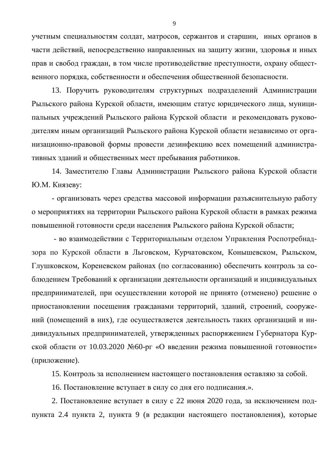учетным специальностям солдат, матросов, сержантов и старшин, иных органов в части действий, непосредственно направленных на защиту жизни, здоровья и иных прав и свобод граждан, в том числе противодействие преступности, охрану общественного порядка, собственности и обеспечения общественной безопасности.

13. Поручить руководителям структурных подразделений Администрации Рыльского района Курской области, имеющим статус юридического лица, муниципальных учреждений Рыльского района Курской области и рекомендовать руководителям иным организаций Рыльского района Курской области независимо от организационно-правовой формы провести дезинфекцию всех помещений административных зданий и общественных мест пребывания работников.

14. Заместителю Главы Администрации Рыльского района Курской области Ю.М. Князеву:

- организовать через средства массовой информации разъяснительную работу о мероприятиях на территории Рыльского района Курской области в рамках режима повышенной готовности среди населения Рыльского района Курской области;

- во взаимодействии с Территориальным отделом Управления Роспотребнадзора по Курской области в Льговском, Курчатовском, Конышевском, Рыльском, Глушковском, Кореневском районах (по согласованию) обеспечить контроль за соблюдением Требований к организации деятельности организаций и индивидуальных предпринимателей, при осуществлении которой не принято (отменено) решение о приостановлении посещения гражданами территорий, зданий, строений, сооружений (помещений в них), где осуществляется деятельность таких организаций и индивидуальных предпринимателей, утвержденных распоряжением Губернатора Курской области от 10.03.2020 №60-рг «О введении режима повышенной готовности» (приложение).

15. Контроль за исполнением настоящего постановления оставляю за собой.

16. Постановление вступает в силу со дня его подписания.».

2. Постановление вступает в силу с 22 июня 2020 года, за исключением подпункта 2.4 пункта 2, пункта 9 (в редакции настоящего постановления), которые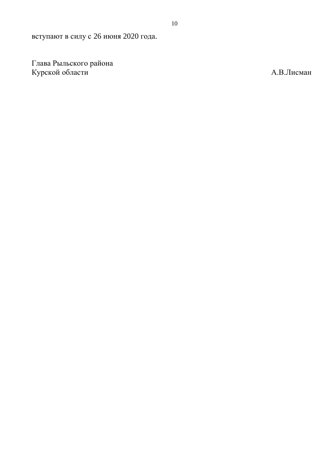вступают в силу с 26 июня 2020 года.

Глава Рыльского района Курской области и производит в совможно и производит в совможно для в А.В.Лисман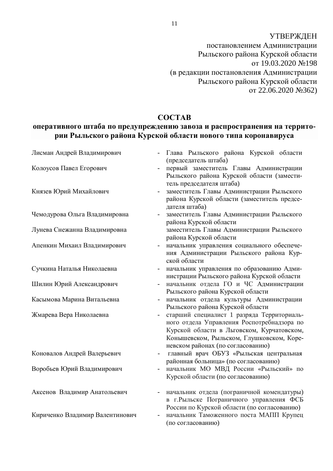УТВЕРЖДЕН постановлением Администрации Рыльского района Курской области or 19.03.2020 No198 (в редакции постановления Администрации Рыльского района Курской области  $\overline{0}$  22.06.2020  $\overline{N}$  362)

#### **COCTAB**

### **ыеративного штаба по предупреждению завоза и распространения на террито**рии Рыльского района Курской области нового типа коронавируса

| Лисман Андрей Владимирович      | Глава Рыльского района Курской области<br>(председатель штаба)                                                                                                                                                           |
|---------------------------------|--------------------------------------------------------------------------------------------------------------------------------------------------------------------------------------------------------------------------|
| Колоусов Павел Егорович         | первый заместитель Главы Администрации<br>Рыльского района Курской области (замести-<br>тель председателя штаба)                                                                                                         |
| Князев Юрий Михайлович          | заместитель Главы Администрации Рыльского<br>района Курской области (заместитель предсе-<br>дателя штаба)                                                                                                                |
| Чемодурова Ольга Владимировна   | заместитель Главы Администрации Рыльского<br>района Курской области                                                                                                                                                      |
| Лунева Снежанна Владимировна    | заместитель Главы Администрации Рыльского<br>района Курской области                                                                                                                                                      |
| Апенкин Михаил Владимирович     | начальник управления социального обеспече-<br>ния Администрации Рыльского района Кур-<br>ской области                                                                                                                    |
| Сучкина Наталья Николаевна      | начальник управления по образованию Адми-<br>нистрации Рыльского района Курской области                                                                                                                                  |
| Шилин Юрий Александрович        | начальник отдела ГО и ЧС Администрации<br>Рыльского района Курской области                                                                                                                                               |
| Касымова Марина Витальевна      | начальник отдела культуры Администрации<br>Рыльского района Курской области                                                                                                                                              |
| Жмарева Вера Николаевна         | старший специалист 1 разряда Территориаль-<br>ного отдела Управления Роспотребнадзора по<br>Курской области в Льговском, Курчатовском,<br>Коньшевском, Рыльском, Глушковском, Коре-<br>невском районах (по согласованию) |
| Коновалов Андрей Валерьевич     | главный врач ОБУЗ «Рыльская центральная<br>районная больница» (по согласованию)                                                                                                                                          |
| Воробьев Юрий Владимирович      | начальник МО МВД России «Рыльский» по<br>Курской области (по согласованию)                                                                                                                                               |
| Аксенов Владимир Анатольевич    | начальник отдела (пограничной комендатуры)<br>в г. Рыльске Пограничного управления ФСБ<br>России по Курской области (по согласованию)                                                                                    |
| Кириченко Владимир Валентинович | начальник Таможенного поста МАПП Крупец<br>(по согласованию)                                                                                                                                                             |